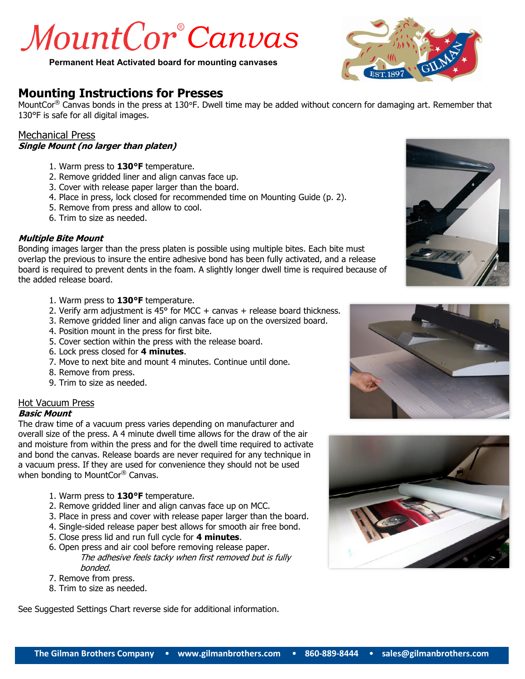# *MountCor*®Canvas

**Permanent Heat Activated board for mounting canvases**

# **Mounting Instructions for Presses**

MountCor<sup>®</sup> Canvas bonds in the press at 130°F. Dwell time may be added without concern for damaging art. Remember that 130°F is safe for all digital images.

#### Mechanical Press **Single Mount (no larger than platen)**

- 1. Warm press to **130°F** temperature.
- 2. Remove gridded liner and align canvas face up.
- 3. Cover with release paper larger than the board.
- 4. Place in press, lock closed for recommended time on Mounting Guide (p. 2).
- 5. Remove from press and allow to cool.
- 6. Trim to size as needed.

#### **Multiple Bite Mount**

Bonding images larger than the press platen is possible using multiple bites. Each bite must overlap the previous to insure the entire adhesive bond has been fully activated, and a release board is required to prevent dents in the foam. A slightly longer dwell time is required because of the added release board.

- 1. Warm press to **130°F** temperature.
- 2. Verify arm adjustment is 45 $\degree$  for MCC + canvas + release board thickness.
- 3. Remove gridded liner and align canvas face up on the oversized board.
- 4. Position mount in the press for first bite.
- 5. Cover section within the press with the release board.
- 6. Lock press closed for **4 minutes**.
- 7. Move to next bite and mount 4 minutes. Continue until done.
- 8. Remove from press.
- 9. Trim to size as needed.

#### Hot Vacuum Press

#### **Basic Mount**

The draw time of a vacuum press varies depending on manufacturer and overall size of the press. A 4 minute dwell time allows for the draw of the air and moisture from within the press and for the dwell time required to activate and bond the canvas. Release boards are never required for any technique in a vacuum press. If they are used for convenience they should not be used when bonding to MountCor® Canvas.

- 1. Warm press to **130°F** temperature.
- 2. Remove gridded liner and align canvas face up on MCC.
- 3. Place in press and cover with release paper larger than the board.
- 4. Single-sided release paper best allows for smooth air free bond.
- 5. Close press lid and run full cycle for **4 minutes**.
- 6. Open press and air cool before removing release paper. The adhesive feels tacky when first removed but is fully bonded.
- 7. Remove from press.
- 8. Trim to size as needed.

See Suggested Settings Chart reverse side for additional information.